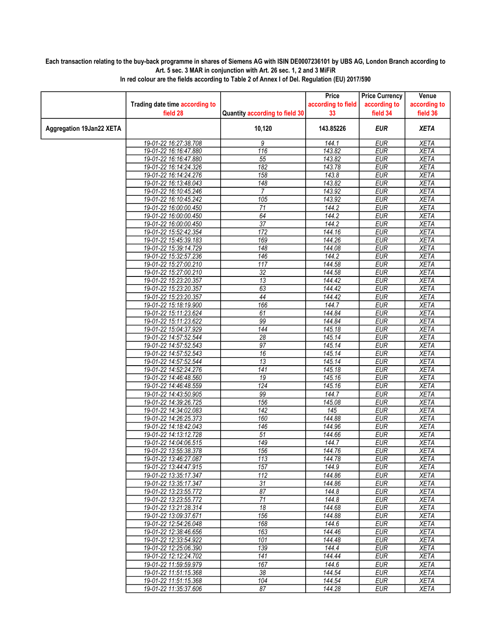## Each transaction relating to the buy-back programme in shares of Siemens AG with ISIN DE0007236101 by UBS AG, London Branch according to Art. 5 sec. 3 MAR in conjunction with Art. 26 sec. 1, 2 and 3 MiFiR

|                                 |                                                |                                | Price              | <b>Price Currency</b>    | Venue                      |
|---------------------------------|------------------------------------------------|--------------------------------|--------------------|--------------------------|----------------------------|
|                                 | Trading date time according to                 |                                | according to field | according to             | according to               |
|                                 | field 28                                       | Quantity according to field 30 | 33                 | field 34                 | field 36                   |
| <b>Aggregation 19Jan22 XETA</b> |                                                | 10,120                         | 143.85226          | <b>EUR</b>               | <b>XETA</b>                |
|                                 | 19-01-22 16:27:38.708                          | 9                              | 144.1              | <b>EUR</b>               | <b>XETA</b>                |
|                                 | 19-01-22 16:16:47.880                          | 116                            | 143.82             | <b>EUR</b>               | <b>XETA</b>                |
|                                 | 19-01-22 16:16:47.880                          | 55                             | 143.82             | <b>EUR</b>               | <b>XETA</b>                |
|                                 | 19-01-22 16:14:24.326                          | 182                            | 143.78             | <b>EUR</b>               | <b>XETA</b>                |
|                                 | 19-01-22 16:14:24.276                          | 158                            | 143.8              | <b>EUR</b>               | <b>XETA</b>                |
|                                 | 19-01-22 16:13:48.043                          | 148                            | 143.82             | <b>EUR</b>               | <b>XETA</b>                |
|                                 | 19-01-22 16:10:45.246                          | 7                              | 143.92             | <b>EUR</b>               | <b>XETA</b>                |
|                                 | 19-01-22 16:10:45.242                          | 105                            | 143.92             | <b>EUR</b>               | <b>XETA</b>                |
|                                 | 19-01-22 16:00:00.450                          | $\overline{71}$                | 144.2              | <b>EUR</b>               | <b>XETA</b>                |
|                                 | 19-01-22 16:00:00.450                          | 64                             | 144.2              | <b>EUR</b>               | <b>XETA</b>                |
|                                 | 19-01-22 16:00:00.450                          | $\overline{37}$                | 144.2              | <b>EUR</b>               | <b>XETA</b>                |
|                                 | 19-01-22 15:52:42.354                          | 172                            | 144.16             | <b>EUR</b>               | <b>XETA</b>                |
|                                 | 19-01-22 15:45:39.183                          | 169                            | 144.26             | <b>EUR</b>               | <b>XETA</b>                |
|                                 | 19-01-22 15:39:14.729                          | $\overline{148}$               | 144.08             | <b>EUR</b>               | <b>XETA</b>                |
|                                 | 19-01-22 15:32:57.236                          | $\overline{146}$               | 144.2              | <b>EUR</b>               | <b>XETA</b>                |
|                                 | 19-01-22 15:27:00.210                          | 117<br>$\overline{32}$         | 144.58<br>144.58   | <b>EUR</b>               | <b>XETA</b>                |
|                                 | 19-01-22 15:27:00.210                          | $\overline{13}$                |                    | <b>EUR</b><br><b>EUR</b> | <b>XETA</b><br><b>XETA</b> |
|                                 | 19-01-22 15:23:20.357                          |                                | 144.42             |                          |                            |
|                                 | 19-01-22 15:23:20.357<br>19-01-22 15:23:20.357 | 63<br>44                       | 144.42<br>144.42   | <b>EUR</b><br><b>EUR</b> | <b>XETA</b><br><b>XETA</b> |
|                                 | 19-01-22 15:18:19.900                          | 166                            | 144.7              | <b>EUR</b>               | <b>XETA</b>                |
|                                 | 19-01-22 15:11:23.624                          | 61                             | 144.84             | <b>EUR</b>               | <b>XETA</b>                |
|                                 | 19-01-22 15:11:23.622                          | 99                             | 144.84             | <b>EUR</b>               | <b>XETA</b>                |
|                                 | 19-01-22 15:04:37.929                          | $\overline{144}$               | 145.18             | <b>EUR</b>               | <b>XETA</b>                |
|                                 | 19-01-22 14:57:52.544                          | 28                             | 145.14             | <b>EUR</b>               | <b>XETA</b>                |
|                                 | 19-01-22 14:57:52.543                          | $\overline{97}$                | 145.14             | <b>EUR</b>               | <b>XETA</b>                |
|                                 | 19-01-22 14:57:52.543                          | 16                             | 145.14             | <b>EUR</b>               | <b>XETA</b>                |
|                                 | 19-01-22 14:57:52.544                          | $\overline{13}$                | 145.14             | <b>EUR</b>               | <b>XETA</b>                |
|                                 | 19-01-22 14:52:24.276                          | $\overline{141}$               | 145.18             | <b>EUR</b>               | <b>XETA</b>                |
|                                 | 19-01-22 14:46:48.560                          | 19                             | 145.16             | <b>EUR</b>               | <b>XETA</b>                |
|                                 | 19-01-22 14:46:48.559                          | 124                            | 145.16             | <b>EUR</b>               | <b>XETA</b>                |
|                                 | 19-01-22 14:43:50.905                          | 99                             | 144.7              | <b>EUR</b>               | <b>XETA</b>                |
|                                 | 19-01-22 14:39:26.725                          | 156                            | 145.08             | <b>EUR</b>               | <b>XETA</b>                |
|                                 | 19-01-22 14:34:02.083                          | $\overline{142}$               | 145                | <b>EUR</b>               | <b>XETA</b>                |
|                                 | 19-01-22 14:26:25.373                          | 160                            | 144.88             | EUR                      | <b>XETA</b>                |
|                                 | 19-01-22 14:18:42.043                          | 146                            | 144.96             | <b>EUR</b>               | <b>XETA</b>                |
|                                 | 19-01-22 14:13:12.728                          | 51                             | 144.66             | <b>EUR</b>               | <b>XETA</b>                |
|                                 | 19-01-22 14:04:06.515                          | 149                            | 144.7              | <b>EUR</b>               | <b>XETA</b>                |
|                                 | 19-01-22 13:55:38.378                          | 156                            | 144.76             | <b>EUR</b>               | <b>XETA</b>                |
|                                 | 19-01-22 13:46:27.087                          | 113                            | 144.78             | <b>EUR</b>               | <b>XETA</b>                |
|                                 | 19-01-22 13:44:47.915                          | 157                            | 144.9              | EUR                      | XETA                       |
|                                 | 19-01-22 13:35:17.347                          | $\overline{112}$               | 144.86             | <b>EUR</b>               | <b>XETA</b>                |
|                                 | 19-01-22 13:35:17.347                          | $\overline{31}$                | 144.86             | <b>EUR</b>               | <b>XETA</b>                |
|                                 | 19-01-22 13:23:55.772                          | 87                             | 144.8              | <b>EUR</b>               | XETA                       |
|                                 | 19-01-22 13:23:55.772                          | $\overline{71}$                | 144.8              | <b>EUR</b>               | <b>XETA</b>                |
|                                 | 19-01-22 13:21:28.314                          | 18                             | 144.68             | <b>EUR</b>               | <b>XETA</b>                |
|                                 | 19-01-22 13:09:37.671                          | 156<br>168                     | 144.88             | <b>EUR</b><br><b>EUR</b> | XETA                       |
|                                 | 19-01-22 12:54:26.048<br>19-01-22 12:38:46.656 | 163                            | 144.6<br>144.46    | <b>EUR</b>               | <b>XETA</b><br><b>XETA</b> |
|                                 | 19-01-22 12:33:54.922                          | 101                            | 144.48             | <b>EUR</b>               | <b>XETA</b>                |
|                                 | 19-01-22 12:25:06.390                          | 139                            | 144.4              | <b>EUR</b>               | <b>XETA</b>                |
|                                 | 19-01-22 12:12:24.702                          | 141                            | 144.44             | <b>EUR</b>               | <b>XETA</b>                |
|                                 | 19-01-22 11:59:59.979                          | 167                            | 144.6              | <b>EUR</b>               | <b>XETA</b>                |
|                                 | 19-01-22 11:51:15.368                          | 38                             | 144.54             | <b>EUR</b>               | <b>XETA</b>                |
|                                 | 19-01-22 11:51:15.368                          | 104                            | 144.54             | <b>EUR</b>               | XETA                       |
|                                 | 19-01-22 11:35:37.606                          | 87                             | 144.28             | <b>EUR</b>               | <b>XETA</b>                |
|                                 |                                                |                                |                    |                          |                            |

In red colour are the fields according to Table 2 of Annex I of Del. Regulation (EU) 2017/590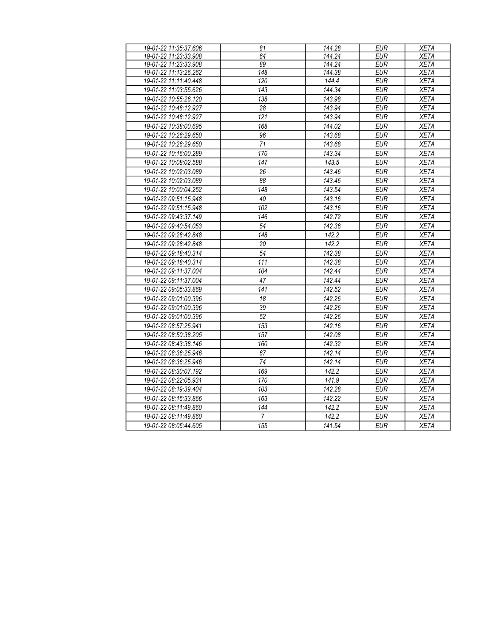| 19-01-22 11:35:37.606 | 81               | 144.28              | <b>EUR</b> | <b>XETA</b> |
|-----------------------|------------------|---------------------|------------|-------------|
| 19-01-22 11:23:33.908 | 64               | 144.24              | <b>EUR</b> | <b>XETA</b> |
| 19-01-22 11:23:33.908 | 89               | 144.24              | <b>EUR</b> | <b>XETA</b> |
| 19-01-22 11:13:26.262 | 148              | 144.38              | <b>EUR</b> | <b>XETA</b> |
| 19-01-22 11:11:40.448 | 120              | 144.4               | <b>EUR</b> | <b>XETA</b> |
| 19-01-22 11:03:55.626 | 143              | 144.34              | <b>EUR</b> | <b>XETA</b> |
| 19-01-22 10:55:26.120 | 138              | 143.98              | <b>EUR</b> | <b>XETA</b> |
| 19-01-22 10:48:12.927 | $\overline{28}$  | 143.94              | <b>EUR</b> | <b>XETA</b> |
| 19-01-22 10:48:12.927 | 121              | 143.94              | <b>EUR</b> | <b>XETA</b> |
| 19-01-22 10:38:00.695 | 168              | 144.02              | <b>EUR</b> | <b>XETA</b> |
| 19-01-22 10:26:29.650 | 96               | 143.68              | <b>EUR</b> | <b>XETA</b> |
| 19-01-22 10:26:29.650 | $\overline{71}$  | 143.68              | <b>EUR</b> | <b>XETA</b> |
| 19-01-22 10:16:00.289 | 170              | 143.34              | <b>EUR</b> | <b>XETA</b> |
| 19-01-22 10:08:02.588 | 147              | 143.5               | <b>EUR</b> | <b>XETA</b> |
| 19-01-22 10:02:03.089 | $\overline{26}$  | 143.46              | <b>EUR</b> | <b>XETA</b> |
| 19-01-22 10:02:03.089 | 88               | 143.46              | <b>EUR</b> | <b>XETA</b> |
| 19-01-22 10:00:04.252 | 148              | 143.54              | <b>EUR</b> | <b>XETA</b> |
| 19-01-22 09:51:15.948 | 40               | 143.16              | <b>EUR</b> | <b>XETA</b> |
| 19-01-22 09:51:15.948 | 102              | 143.16              | <b>EUR</b> | <b>XETA</b> |
| 19-01-22 09:43:37.149 | 146              | 142.72              | <b>EUR</b> | <b>XETA</b> |
| 19-01-22 09:40:54.053 | 54               | 142.36              | <b>EUR</b> | <b>XETA</b> |
| 19-01-22 09:28:42.848 | 148              | 142.2               | <b>EUR</b> | <b>XETA</b> |
| 19-01-22 09:28:42.848 | 20               | 142.2               | <b>EUR</b> | <b>XETA</b> |
| 19-01-22 09:18:40.314 | 54               | 142.38              | <b>EUR</b> | <b>XETA</b> |
| 19-01-22 09:18:40.314 | $\overline{111}$ | 142.38              | EUR        | <b>XETA</b> |
| 19-01-22 09:11:37.004 | 104              | 142.44              | <b>EUR</b> | <b>XETA</b> |
| 19-01-22 09:11:37.004 | $\overline{47}$  | 142.44              | <b>EUR</b> | <b>XETA</b> |
| 19-01-22 09:05:33.869 | $\overline{141}$ | 142.52              | <b>EUR</b> | <b>XETA</b> |
| 19-01-22 09:01:00.396 | 18               | $\overline{142.26}$ | <b>EUR</b> | <b>XETA</b> |
| 19-01-22 09:01:00.396 | 39               | 142.26              | <b>EUR</b> | <b>XETA</b> |
| 19-01-22 09:01:00.396 | $\overline{52}$  | 142.26              | <b>EUR</b> | <b>XETA</b> |
| 19-01-22 08:57:25.941 | 153              | 142.16              | <b>EUR</b> | <b>XETA</b> |
| 19-01-22 08:50:38.205 | 157              | 142.08              | <b>EUR</b> | <b>XETA</b> |
| 19-01-22 08:43:38.146 | 160              | 142.32              | <b>EUR</b> | <b>XETA</b> |
| 19-01-22 08:36:25.946 | 67               | 142.14              | <b>EUR</b> | <b>XETA</b> |
| 19-01-22 08:36:25.946 | 74               | 142.14              | <b>EUR</b> | <b>XETA</b> |
| 19-01-22 08:30:07.192 | 169              | 142.2               | EUR        | <b>XETA</b> |
| 19-01-22 08:22:05.931 | 170              | 141.9               | <b>EUR</b> | <b>XETA</b> |
| 19-01-22 08:19:39.404 | $\overline{103}$ | 142.28              | <b>EUR</b> | <b>XETA</b> |
| 19-01-22 08:15:33.866 | 163              | 142.22              | EUR        | <b>XETA</b> |
| 19-01-22 08:11:49.860 | $\overline{144}$ | 142.2               | <b>EUR</b> | <b>XETA</b> |
| 19-01-22 08:11:49.860 | 7                | 142.2               | <b>EUR</b> | <b>XETA</b> |
| 19-01-22 08:05:44.605 | 155              | 141.54              | <b>EUR</b> | <b>XETA</b> |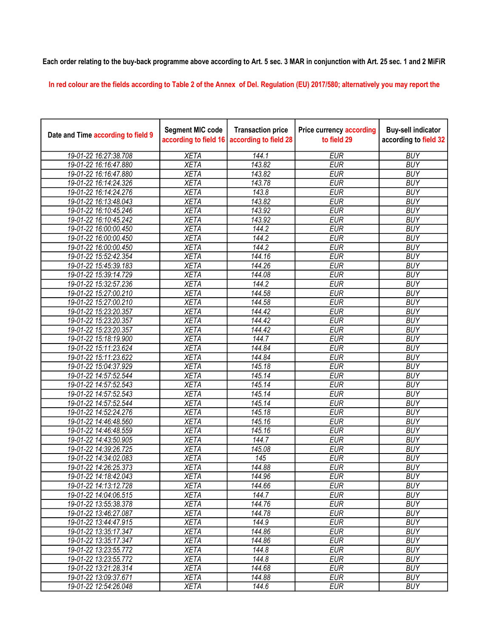## Each order relating to the buy-back programme above according to Art. 5 sec. 3 MAR in conjunction with Art. 25 sec. 1 and 2 MiFiR

In red colour are the fields according to Table 2 of the Annex of Del. Regulation (EU) 2017/580; alternatively you may report the

| Date and Time according to field 9 | <b>Segment MIC code</b><br>according to field 16 | <b>Transaction price</b><br>according to field 28 | <b>Price currency according</b><br>to field 29 | <b>Buy-sell indicator</b><br>according to field 32 |
|------------------------------------|--------------------------------------------------|---------------------------------------------------|------------------------------------------------|----------------------------------------------------|
| 19-01-22 16:27:38.708              | <b>XETA</b>                                      | 144.1                                             | <b>EUR</b>                                     | <b>BUY</b>                                         |
| 19-01-22 16:16:47.880              | <b>XETA</b>                                      | 143.82                                            | <b>EUR</b>                                     | <b>BUY</b>                                         |
| 19-01-22 16:16:47.880              | <b>XETA</b>                                      | 143.82                                            | <b>EUR</b>                                     | <b>BUY</b>                                         |
| 19-01-22 16:14:24.326              | <b>XETA</b>                                      | 143.78                                            | <b>EUR</b>                                     | <b>BUY</b>                                         |
| 19-01-22 16:14:24.276              | <b>XETA</b>                                      | 143.8                                             | <b>EUR</b>                                     | <b>BUY</b>                                         |
| 19-01-22 16:13:48.043              | <b>XETA</b>                                      | 143.82                                            | <b>EUR</b>                                     | <b>BUY</b>                                         |
| 19-01-22 16:10:45.246              | <b>XETA</b>                                      | 143.92                                            | <b>EUR</b>                                     | <b>BUY</b>                                         |
| 19-01-22 16:10:45.242              | <b>XETA</b>                                      | 143.92                                            | <b>EUR</b>                                     | <b>BUY</b>                                         |
| 19-01-22 16:00:00.450              | <b>XETA</b>                                      | 144.2                                             | <b>EUR</b>                                     | <b>BUY</b>                                         |
| 19-01-22 16:00:00.450              | <b>XETA</b>                                      | 144.2                                             | <b>EUR</b>                                     | <b>BUY</b>                                         |
| 19-01-22 16:00:00.450              | <b>XETA</b>                                      | 144.2                                             | <b>EUR</b>                                     | <b>BUY</b>                                         |
| 19-01-22 15:52:42.354              | <b>XETA</b>                                      | 144.16                                            | <b>EUR</b>                                     | <b>BUY</b>                                         |
| 19-01-22 15:45:39.183              | <b>XETA</b>                                      | 144.26                                            | <b>EUR</b>                                     | <b>BUY</b>                                         |
| 19-01-22 15:39:14.729              | <b>XETA</b>                                      | 144.08                                            | <b>EUR</b>                                     | <b>BUY</b>                                         |
| 19-01-22 15:32:57.236              | <b>XETA</b>                                      | 144.2                                             | <b>EUR</b>                                     | <b>BUY</b>                                         |
| 19-01-22 15:27:00.210              | <b>XETA</b>                                      | 144.58                                            | <b>EUR</b>                                     | <b>BUY</b>                                         |
| 19-01-22 15:27:00.210              | <b>XETA</b>                                      | 144.58                                            | <b>EUR</b>                                     | <b>BUY</b>                                         |
| 19-01-22 15:23:20.357              | <b>XETA</b>                                      | 144.42                                            | <b>EUR</b>                                     | <b>BUY</b>                                         |
| 19-01-22 15:23:20.357              | <b>XETA</b>                                      | 144.42                                            | <b>EUR</b>                                     | <b>BUY</b>                                         |
| 19-01-22 15:23:20.357              | <b>XETA</b>                                      | 144.42                                            | <b>EUR</b>                                     | <b>BUY</b>                                         |
| 19-01-22 15:18:19.900              | <b>XETA</b>                                      | 144.7                                             | <b>EUR</b>                                     | <b>BUY</b>                                         |
| 19-01-22 15:11:23.624              | <b>XETA</b>                                      | 144.84                                            | <b>EUR</b>                                     | <b>BUY</b>                                         |
| 19-01-22 15:11:23.622              | <b>XETA</b>                                      | 144.84                                            | <b>EUR</b>                                     | <b>BUY</b>                                         |
| 19-01-22 15:04:37.929              | <b>XETA</b>                                      | 145.18                                            | <b>EUR</b>                                     | <b>BUY</b>                                         |
| 19-01-22 14:57:52.544              | <b>XETA</b>                                      | 145.14                                            | <b>EUR</b>                                     | <b>BUY</b>                                         |
| 19-01-22 14:57:52.543              | <b>XETA</b>                                      | 145.14                                            | <b>EUR</b>                                     | <b>BUY</b>                                         |
| 19-01-22 14:57:52.543              | <b>XETA</b>                                      | 145.14                                            | <b>EUR</b>                                     | <b>BUY</b>                                         |
| 19-01-22 14:57:52.544              | <b>XETA</b>                                      | 145.14                                            | <b>EUR</b>                                     | <b>BUY</b>                                         |
| 19-01-22 14:52:24.276              | <b>XETA</b>                                      | 145.18                                            | <b>EUR</b>                                     | <b>BUY</b>                                         |
| 19-01-22 14:46:48.560              | <b>XETA</b>                                      | 145.16                                            | <b>EUR</b>                                     | <b>BUY</b>                                         |
| 19-01-22 14:46:48.559              | <b>XETA</b>                                      | 145.16                                            | <b>EUR</b>                                     | <b>BUY</b>                                         |
| 19-01-22 14:43:50.905              | <b>XETA</b>                                      | 144.7                                             | <b>EUR</b>                                     | <b>BUY</b>                                         |
| 19-01-22 14:39:26.725              | <b>XETA</b>                                      | 145.08                                            | <b>EUR</b>                                     | <b>BUY</b>                                         |
| 19-01-22 14:34:02.083              | <b>XETA</b>                                      | 145                                               | <b>EUR</b>                                     | <b>BUY</b>                                         |
| 19-01-22 14:26:25.373              | <b>XETA</b>                                      | 144.88                                            | <b>EUR</b>                                     | <b>BUY</b>                                         |
| 19-01-22 14:18:42.043              | <b>XETA</b>                                      | 144.96                                            | <b>EUR</b>                                     | <b>BUY</b>                                         |
| 19-01-22 14:13:12.728              | <b>XETA</b>                                      | 144.66                                            | <b>EUR</b>                                     | <b>BUY</b>                                         |
| 19-01-22 14:04:06.515              | <b>XETA</b>                                      | 144.7                                             | <b>EUR</b>                                     | <b>BUY</b>                                         |
| 19-01-22 13:55:38.378              | <b>XETA</b>                                      | $\overline{144.76}$                               | <b>EUR</b>                                     | <b>BUY</b>                                         |
| 19-01-22 13:46:27.087              | <b>XETA</b>                                      | 144.78                                            | <b>EUR</b>                                     | <b>BUY</b>                                         |
| 19-01-22 13:44:47.915              | <b>XETA</b>                                      | 144.9                                             | <b>EUR</b>                                     | <b>BUY</b>                                         |
| 19-01-22 13:35:17.347              | <b>XETA</b>                                      | 144.86                                            | <b>EUR</b>                                     | <b>BUY</b>                                         |
| 19-01-22 13:35:17.347              | <b>XETA</b>                                      | 144.86                                            | <b>EUR</b>                                     | <b>BUY</b>                                         |
| 19-01-22 13:23:55.772              | <b>XETA</b>                                      | 144.8                                             | <b>EUR</b>                                     | <b>BUY</b>                                         |
| 19-01-22 13:23:55.772              | <b>XETA</b>                                      | 144.8                                             | <b>EUR</b>                                     | <b>BUY</b>                                         |
| 19-01-22 13:21:28.314              | <b>XETA</b>                                      | 144.68                                            | <b>EUR</b>                                     | <b>BUY</b>                                         |
| 19-01-22 13:09:37.671              | <b>XETA</b>                                      | 144.88                                            | <b>EUR</b>                                     | <b>BUY</b>                                         |
| 19-01-22 12:54:26.048              | <b>XETA</b>                                      | 144.6                                             | <b>EUR</b>                                     | <b>BUY</b>                                         |